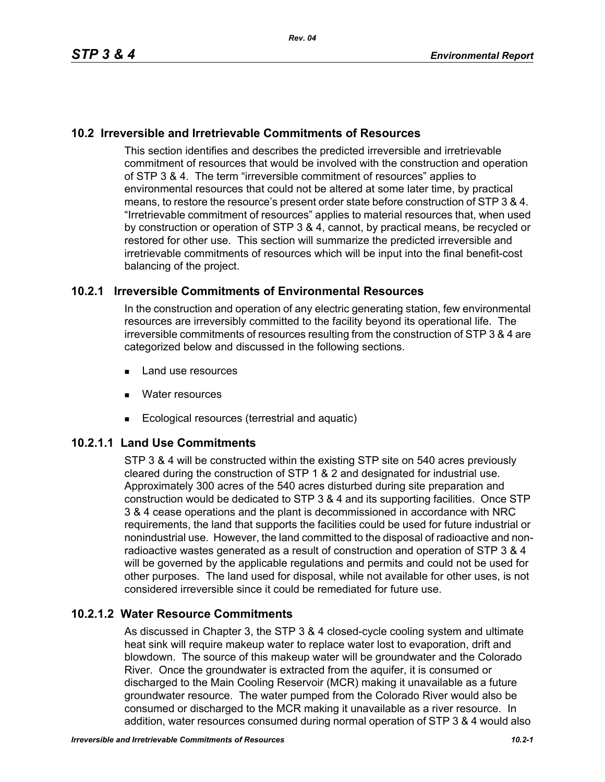### **10.2 Irreversible and Irretrievable Commitments of Resources**

This section identifies and describes the predicted irreversible and irretrievable commitment of resources that would be involved with the construction and operation of STP 3 & 4. The term "irreversible commitment of resources" applies to environmental resources that could not be altered at some later time, by practical means, to restore the resource's present order state before construction of STP 3 & 4. "Irretrievable commitment of resources" applies to material resources that, when used by construction or operation of STP 3 & 4, cannot, by practical means, be recycled or restored for other use. This section will summarize the predicted irreversible and irretrievable commitments of resources which will be input into the final benefit-cost balancing of the project.

### **10.2.1 Irreversible Commitments of Environmental Resources**

In the construction and operation of any electric generating station, few environmental resources are irreversibly committed to the facility beyond its operational life. The irreversible commitments of resources resulting from the construction of STP 3 & 4 are categorized below and discussed in the following sections.

- **Land use resources**
- **Nater resources**
- Ecological resources (terrestrial and aquatic)

## **10.2.1.1 Land Use Commitments**

STP 3 & 4 will be constructed within the existing STP site on 540 acres previously cleared during the construction of STP 1 & 2 and designated for industrial use. Approximately 300 acres of the 540 acres disturbed during site preparation and construction would be dedicated to STP 3 & 4 and its supporting facilities. Once STP 3 & 4 cease operations and the plant is decommissioned in accordance with NRC requirements, the land that supports the facilities could be used for future industrial or nonindustrial use. However, the land committed to the disposal of radioactive and nonradioactive wastes generated as a result of construction and operation of STP 3 & 4 will be governed by the applicable regulations and permits and could not be used for other purposes. The land used for disposal, while not available for other uses, is not considered irreversible since it could be remediated for future use.

# **10.2.1.2 Water Resource Commitments**

As discussed in Chapter 3, the STP 3 & 4 closed-cycle cooling system and ultimate heat sink will require makeup water to replace water lost to evaporation, drift and blowdown. The source of this makeup water will be groundwater and the Colorado River. Once the groundwater is extracted from the aquifer, it is consumed or discharged to the Main Cooling Reservoir (MCR) making it unavailable as a future groundwater resource. The water pumped from the Colorado River would also be consumed or discharged to the MCR making it unavailable as a river resource. In addition, water resources consumed during normal operation of STP 3 & 4 would also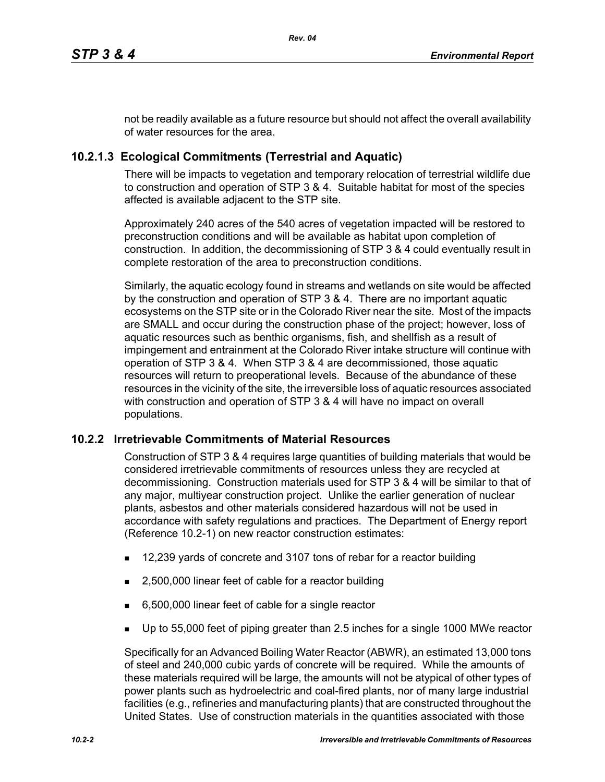not be readily available as a future resource but should not affect the overall availability of water resources for the area.

## **10.2.1.3 Ecological Commitments (Terrestrial and Aquatic)**

There will be impacts to vegetation and temporary relocation of terrestrial wildlife due to construction and operation of STP 3 & 4. Suitable habitat for most of the species affected is available adjacent to the STP site.

Approximately 240 acres of the 540 acres of vegetation impacted will be restored to preconstruction conditions and will be available as habitat upon completion of construction. In addition, the decommissioning of STP 3 & 4 could eventually result in complete restoration of the area to preconstruction conditions.

Similarly, the aquatic ecology found in streams and wetlands on site would be affected by the construction and operation of STP 3 & 4. There are no important aquatic ecosystems on the STP site or in the Colorado River near the site. Most of the impacts are SMALL and occur during the construction phase of the project; however, loss of aquatic resources such as benthic organisms, fish, and shellfish as a result of impingement and entrainment at the Colorado River intake structure will continue with operation of STP 3 & 4. When STP 3 & 4 are decommissioned, those aquatic resources will return to preoperational levels. Because of the abundance of these resources in the vicinity of the site, the irreversible loss of aquatic resources associated with construction and operation of STP 3 & 4 will have no impact on overall populations.

### **10.2.2 Irretrievable Commitments of Material Resources**

Construction of STP 3 & 4 requires large quantities of building materials that would be considered irretrievable commitments of resources unless they are recycled at decommissioning. Construction materials used for STP 3 & 4 will be similar to that of any major, multiyear construction project. Unlike the earlier generation of nuclear plants, asbestos and other materials considered hazardous will not be used in accordance with safety regulations and practices. The Department of Energy report (Reference 10.2-1) on new reactor construction estimates:

- 12,239 yards of concrete and 3107 tons of rebar for a reactor building
- 2,500,000 linear feet of cable for a reactor building
- 6,500,000 linear feet of cable for a single reactor
- Up to 55,000 feet of piping greater than 2.5 inches for a single 1000 MWe reactor

Specifically for an Advanced Boiling Water Reactor (ABWR), an estimated 13,000 tons of steel and 240,000 cubic yards of concrete will be required. While the amounts of these materials required will be large, the amounts will not be atypical of other types of power plants such as hydroelectric and coal-fired plants, nor of many large industrial facilities (e.g., refineries and manufacturing plants) that are constructed throughout the United States. Use of construction materials in the quantities associated with those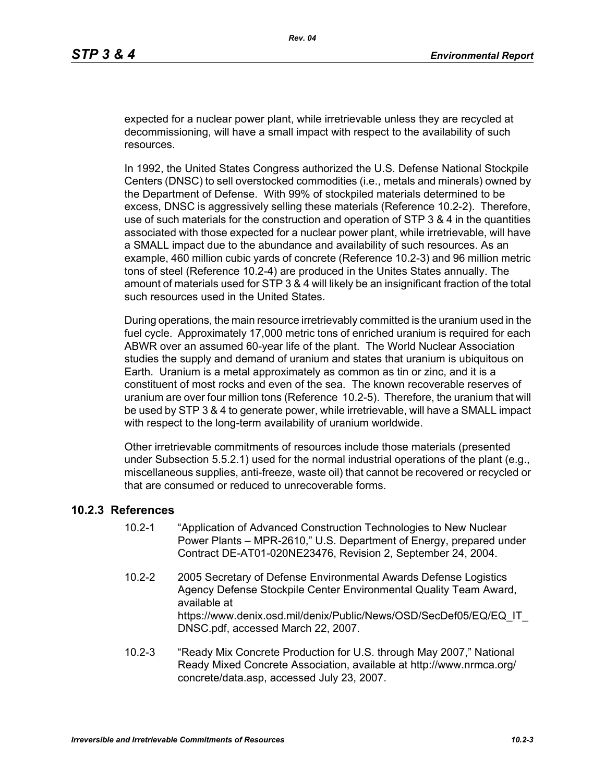expected for a nuclear power plant, while irretrievable unless they are recycled at decommissioning, will have a small impact with respect to the availability of such resources.

In 1992, the United States Congress authorized the U.S. Defense National Stockpile Centers (DNSC) to sell overstocked commodities (i.e., metals and minerals) owned by the Department of Defense. With 99% of stockpiled materials determined to be excess, DNSC is aggressively selling these materials (Reference 10.2-2). Therefore, use of such materials for the construction and operation of STP 3 & 4 in the quantities associated with those expected for a nuclear power plant, while irretrievable, will have a SMALL impact due to the abundance and availability of such resources. As an example, 460 million cubic yards of concrete (Reference 10.2-3) and 96 million metric tons of steel (Reference 10.2-4) are produced in the Unites States annually. The amount of materials used for STP 3 & 4 will likely be an insignificant fraction of the total such resources used in the United States.

During operations, the main resource irretrievably committed is the uranium used in the fuel cycle. Approximately 17,000 metric tons of enriched uranium is required for each ABWR over an assumed 60-year life of the plant. The World Nuclear Association studies the supply and demand of uranium and states that uranium is ubiquitous on Earth. Uranium is a metal approximately as common as tin or zinc, and it is a constituent of most rocks and even of the sea. The known recoverable reserves of uranium are over four million tons (Reference 10.2-5). Therefore, the uranium that will be used by STP 3 & 4 to generate power, while irretrievable, will have a SMALL impact with respect to the long-term availability of uranium worldwide.

Other irretrievable commitments of resources include those materials (presented under Subsection 5.5.2.1) used for the normal industrial operations of the plant (e.g., miscellaneous supplies, anti-freeze, waste oil) that cannot be recovered or recycled or that are consumed or reduced to unrecoverable forms.

#### **10.2.3 References**

- 10.2-1 "Application of Advanced Construction Technologies to New Nuclear Power Plants – MPR-2610," U.S. Department of Energy, prepared under Contract DE-AT01-020NE23476, Revision 2, September 24, 2004.
- 10.2-2 2005 Secretary of Defense Environmental Awards Defense Logistics Agency Defense Stockpile Center Environmental Quality Team Award, available at https://www.denix.osd.mil/denix/Public/News/OSD/SecDef05/EQ/EQ\_IT DNSC.pdf, accessed March 22, 2007.
- 10.2-3 "Ready Mix Concrete Production for U.S. through May 2007," National Ready Mixed Concrete Association, available at http://www.nrmca.org/ concrete/data.asp, accessed July 23, 2007.